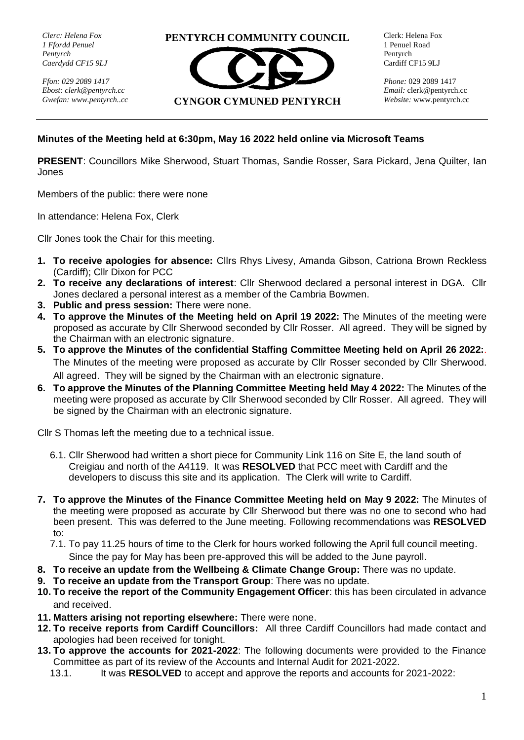*Clerc: Helena Fox 1 Ffordd Penuel Pentyrch Caerdydd CF15 9LJ*

*Ffon: 029 2089 1417 Ebost[: clerk@pentyrch.cc](mailto:clerk@pentyrch.cc) Gwefan: www.pentyrch..cc* **PENTYRCH COMMUNITY COUNCIL**



Clerk: Helena Fox 1 Penuel Road Pentyrch Cardiff CF15 9LJ

*Phone:* 029 2089 1417 *Email:* [clerk@pentyrch.cc](mailto:clerk@pentyrch.cc) *Website:* www.pentyrch.cc

## **Minutes of the Meeting held at 6:30pm, May 16 2022 held online via Microsoft Teams**

**PRESENT**: Councillors Mike Sherwood, Stuart Thomas, Sandie Rosser, Sara Pickard, Jena Quilter, Ian Jones

Members of the public: there were none

In attendance: Helena Fox, Clerk

Cllr Jones took the Chair for this meeting.

- **1. To receive apologies for absence:** Cllrs Rhys Livesy, Amanda Gibson, Catriona Brown Reckless (Cardiff); Cllr Dixon for PCC
- **2. To receive any declarations of interest**: Cllr Sherwood declared a personal interest in DGA. Cllr Jones declared a personal interest as a member of the Cambria Bowmen.
- **3. Public and press session:** There were none.
- **4. To approve the Minutes of the Meeting held on April 19 2022:** The Minutes of the meeting were proposed as accurate by Cllr Sherwood seconded by Cllr Rosser. All agreed. They will be signed by the Chairman with an electronic signature.
- **5. To approve the Minutes of the confidential Staffing Committee Meeting held on April 26 2022:**. The Minutes of the meeting were proposed as accurate by Cllr Rosser seconded by Cllr Sherwood. All agreed. They will be signed by the Chairman with an electronic signature.
- **6. To approve the Minutes of the Planning Committee Meeting held May 4 2022:** The Minutes of the meeting were proposed as accurate by Cllr Sherwood seconded by Cllr Rosser. All agreed. They will be signed by the Chairman with an electronic signature.

Cllr S Thomas left the meeting due to a technical issue.

- 6.1. Cllr Sherwood had written a short piece for Community Link 116 on Site E, the land south of Creigiau and north of the A4119. It was **RESOLVED** that PCC meet with Cardiff and the developers to discuss this site and its application. The Clerk will write to Cardiff.
- **7. To approve the Minutes of the Finance Committee Meeting held on May 9 2022:** The Minutes of the meeting were proposed as accurate by Cllr Sherwood but there was no one to second who had been present. This was deferred to the June meeting. Following recommendations was **RESOLVED** to:
	- 7.1. To pay 11.25 hours of time to the Clerk for hours worked following the April full council meeting. Since the pay for May has been pre-approved this will be added to the June payroll.
- **8. To receive an update from the Wellbeing & Climate Change Group:** There was no update.
- **9. To receive an update from the Transport Group**: There was no update.
- **10. To receive the report of the Community Engagement Officer**: this has been circulated in advance and received.
- **11. Matters arising not reporting elsewhere:** There were none.
- **12. To receive reports from Cardiff Councillors:** All three Cardiff Councillors had made contact and apologies had been received for tonight.
- **13. To approve the accounts for 2021-2022**: The following documents were provided to the Finance Committee as part of its review of the Accounts and Internal Audit for 2021-2022.
	- 13.1. It was **RESOLVED** to accept and approve the reports and accounts for 2021-2022: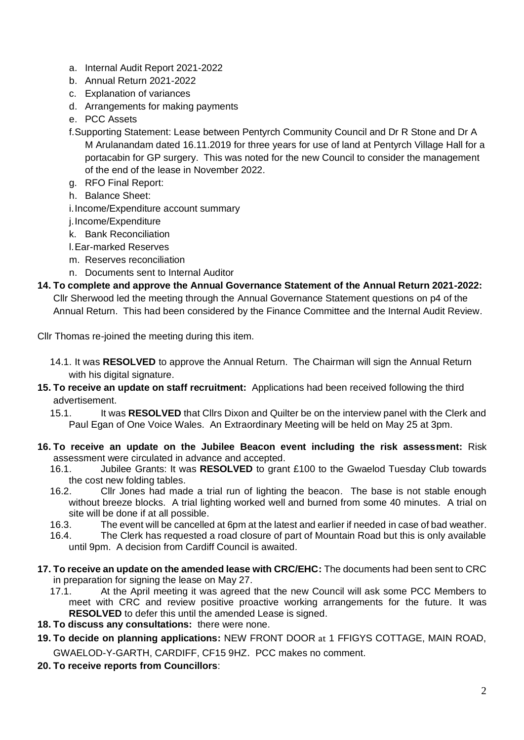- a. Internal Audit Report 2021-2022
- b. Annual Return 2021-2022
- c. Explanation of variances
- d. Arrangements for making payments
- e. PCC Assets
- f.Supporting Statement: Lease between Pentyrch Community Council and Dr R Stone and Dr A M Arulanandam dated 16.11.2019 for three years for use of land at Pentyrch Village Hall for a portacabin for GP surgery. This was noted for the new Council to consider the management of the end of the lease in November 2022.
- g. RFO Final Report:
- h. Balance Sheet:

i.Income/Expenditure account summary

j.Income/Expenditure

- k. Bank Reconciliation
- l.Ear-marked Reserves
- m. Reserves reconciliation
- n. Documents sent to Internal Auditor
- **14. To complete and approve the Annual Governance Statement of the Annual Return 2021-2022:**  Cllr Sherwood led the meeting through the Annual Governance Statement questions on p4 of the Annual Return. This had been considered by the Finance Committee and the Internal Audit Review.

Cllr Thomas re-joined the meeting during this item.

- 14.1. It was **RESOLVED** to approve the Annual Return. The Chairman will sign the Annual Return with his digital signature.
- **15. To receive an update on staff recruitment:** Applications had been received following the third advertisement.

- **16. To receive an update on the Jubilee Beacon event including the risk assessment:** Risk assessment were circulated in advance and accepted.
	- 16.1. Jubilee Grants: It was **RESOLVED** to grant £100 to the Gwaelod Tuesday Club towards the cost new folding tables.
	- 16.2. Cllr Jones had made a trial run of lighting the beacon. The base is not stable enough without breeze blocks. A trial lighting worked well and burned from some 40 minutes. A trial on site will be done if at all possible.
	- 16.3. The event will be cancelled at 6pm at the latest and earlier if needed in case of bad weather.
	- 16.4. The Clerk has requested a road closure of part of Mountain Road but this is only available until 9pm. A decision from Cardiff Council is awaited.
- **17. To receive an update on the amended lease with CRC/EHC:** The documents had been sent to CRC in preparation for signing the lease on May 27.
	- 17.1. At the April meeting it was agreed that the new Council will ask some PCC Members to meet with CRC and review positive proactive working arrangements for the future. It was **RESOLVED** to defer this until the amended Lease is signed.
- **18. To discuss any consultations:** there were none.
- **19. To decide on planning applications:** NEW FRONT DOOR at 1 FFIGYS COTTAGE, MAIN ROAD, GWAELOD-Y-GARTH, CARDIFF, CF15 9HZ. PCC makes no comment.
- **20. To receive reports from Councillors**:

<sup>15.1.</sup> It was **RESOLVED** that Cllrs Dixon and Quilter be on the interview panel with the Clerk and Paul Egan of One Voice Wales. An Extraordinary Meeting will be held on May 25 at 3pm.